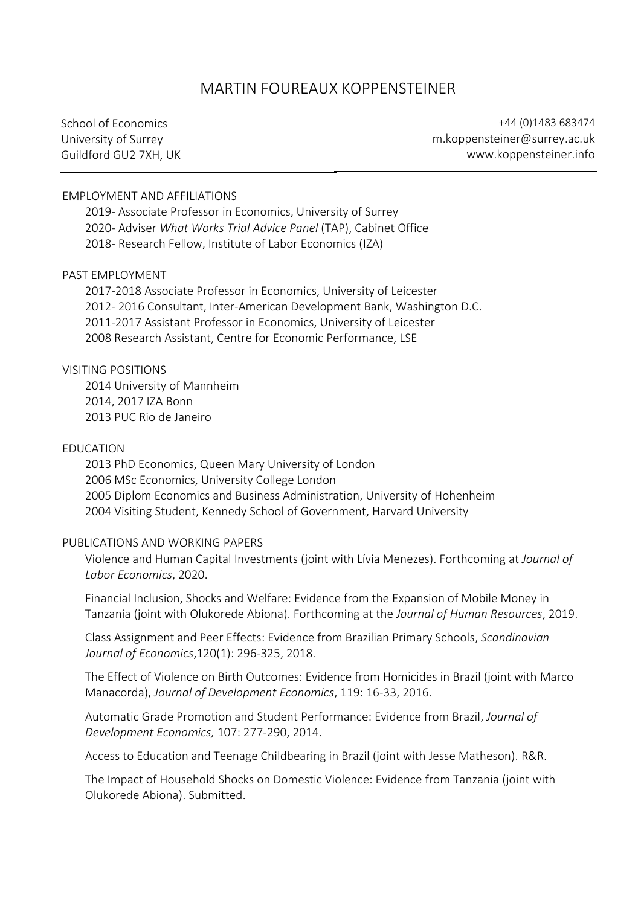# MARTIN FOUREAUX KOPPENSTEINER

School of Economics University of Surrey Guildford GU2 7XH, UK

+44 (0)1483 683474 m.koppensteiner@surrey.ac.uk www.koppensteiner.info

#### EMPLOYMENT AND AFFILIATIONS

2019- Associate Professor in Economics, University of Surrey 2020- Adviser *What Works Trial Advice Panel* (TAP), Cabinet Office 2018- Research Fellow, Institute of Labor Economics (IZA)

#### PAST EMPLOYMENT

2017-2018 Associate Professor in Economics, University of Leicester 2012- 2016 Consultant, Inter-American Development Bank, Washington D.C. 2011-2017 Assistant Professor in Economics, University of Leicester 2008 Research Assistant, Centre for Economic Performance, LSE

#### VISITING POSITIONS

2014 University of Mannheim 2014, 2017 IZA Bonn 2013 PUC Rio de Janeiro

#### EDUCATION

2013 PhD Economics, Queen Mary University of London 2006 MSc Economics, University College London 2005 Diplom Economics and Business Administration, University of Hohenheim 2004 Visiting Student, Kennedy School of Government, Harvard University

#### PUBLICATIONS AND WORKING PAPERS

Violence and Human Capital Investments (joint with Lívia Menezes). Forthcoming at *Journal of Labor Economics*, 2020.

Financial Inclusion, Shocks and Welfare: Evidence from the Expansion of Mobile Money in Tanzania (joint with Olukorede Abiona). Forthcoming at the *Journal of Human Resources*, 2019.

Class Assignment and Peer Effects: Evidence from Brazilian Primary Schools, *Scandinavian Journal of Economics*,120(1): 296-325, 2018.

The Effect of Violence on Birth Outcomes: Evidence from Homicides in Brazil (joint with Marco Manacorda), *Journal of Development Economics*, 119: 16-33, 2016.

Automatic Grade Promotion and Student Performance: Evidence from Brazil, *Journal of Development Economics,* 107: 277-290, 2014.

Access to Education and Teenage Childbearing in Brazil (joint with Jesse Matheson). R&R.

The Impact of Household Shocks on Domestic Violence: Evidence from Tanzania (joint with Olukorede Abiona). Submitted.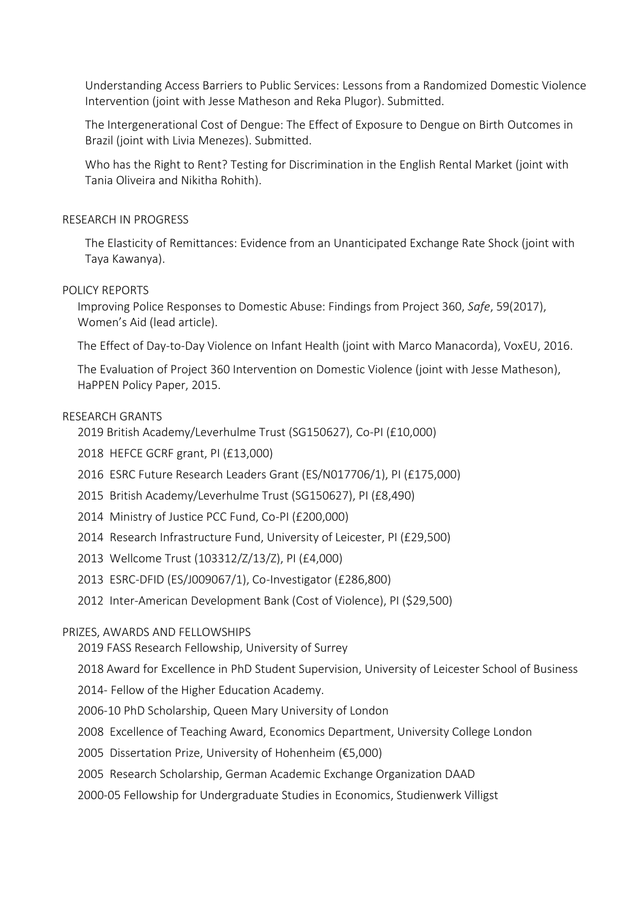Understanding Access Barriers to Public Services: Lessons from a Randomized Domestic Violence Intervention (joint with Jesse Matheson and Reka Plugor). Submitted.

The Intergenerational Cost of Dengue: The Effect of Exposure to Dengue on Birth Outcomes in Brazil (joint with Livia Menezes). Submitted.

Who has the Right to Rent? Testing for Discrimination in the English Rental Market (joint with Tania Oliveira and Nikitha Rohith).

### RESEARCH IN PROGRESS

The Elasticity of Remittances: Evidence from an Unanticipated Exchange Rate Shock (joint with Taya Kawanya).

# POLICY REPORTS

Improving Police Responses to Domestic Abuse: Findings from Project 360, *Safe*, 59(2017), Women's Aid (lead article).

The Effect of Day-to-Day Violence on Infant Health (joint with Marco Manacorda), VoxEU, 2016.

The Evaluation of Project 360 Intervention on Domestic Violence (joint with Jesse Matheson), HaPPEN Policy Paper, 2015.

# RESEARCH GRANTS

2019 British Academy/Leverhulme Trust (SG150627), Co-PI (£10,000)

2018 HEFCE GCRF grant, PI (£13,000)

- 2016 ESRC Future Research Leaders Grant (ES/N017706/1), PI (£175,000)
- 2015 British Academy/Leverhulme Trust (SG150627), PI (£8,490)
- 2014 Ministry of Justice PCC Fund, Co-PI (£200,000)
- 2014 Research Infrastructure Fund, University of Leicester, PI (£29,500)
- 2013 Wellcome Trust (103312/Z/13/Z), PI (£4,000)
- 2013 ESRC-DFID (ES/J009067/1), Co-Investigator (£286,800)
- 2012 Inter-American Development Bank (Cost of Violence), PI (\$29,500)

### PRIZES, AWARDS AND FELLOWSHIPS

2019 FASS Research Fellowship, University of Surrey

2018 Award for Excellence in PhD Student Supervision, University of Leicester School of Business

2014- Fellow of the Higher Education Academy.

- 2006-10 PhD Scholarship, Queen Mary University of London
- 2008 Excellence of Teaching Award, Economics Department, University College London
- 2005 Dissertation Prize, University of Hohenheim (€5,000)
- 2005 Research Scholarship, German Academic Exchange Organization DAAD
- 2000-05 Fellowship for Undergraduate Studies in Economics, Studienwerk Villigst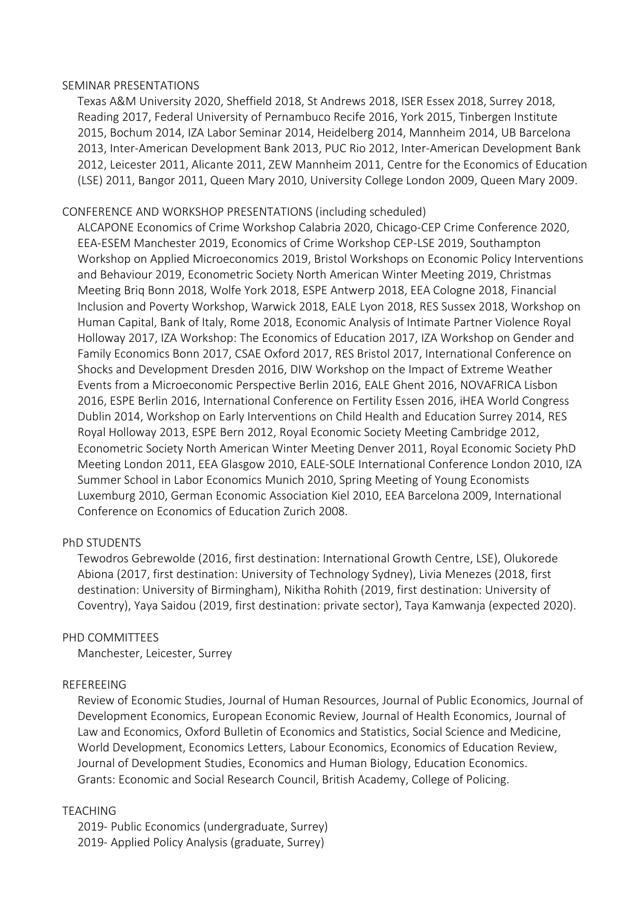#### SEMINAR PRESENTATIONS

Texas A&M University 2020, Sheffield 2018, St Andrews 2018, ISER Essex 2018, Surrey 2018, Reading 2017, Federal University of Pernambuco Recife 2016, York 2015, Tinbergen Institute 2015, Bochum 2014, IZA Labor Seminar 2014, Heidelberg 2014, Mannheim 2014, UB Barcelona 2013, Inter-American Development Bank 2013, PUC Rio 2012, Inter-American Development Bank 2012, Leicester 2011, Alicante 2011, ZEW Mannheim 2011, Centre for the Economics of Education (LSE) 2011, Bangor 2011, Queen Mary 2010, University College London 2009, Queen Mary 2009.

# CONFERENCE AND WORKSHOP PRESENTATIONS (including scheduled)

ALCAPONE Economics of Crime Workshop Calabria 2020, Chicago-CEP Crime Conference 2020, EEA-ESEM Manchester 2019, Economics of Crime Workshop CEP-LSE 2019, Southampton Workshop on Applied Microeconomics 2019, Bristol Workshops on Economic Policy Interventions and Behaviour 2019, Econometric Society North American Winter Meeting 2019, Christmas Meeting Briq Bonn 2018, Wolfe York 2018, ESPE Antwerp 2018, EEA Cologne 2018, Financial Inclusion and Poverty Workshop, Warwick 2018, EALE Lyon 2018, RES Sussex 2018, Workshop on Human Capital, Bank of Italy, Rome 2018, Economic Analysis of Intimate Partner Violence Royal Holloway 2017, IZA Workshop: The Economics of Education 2017, IZA Workshop on Gender and Family Economics Bonn 2017, CSAE Oxford 2017, RES Bristol 2017, International Conference on Shocks and Development Dresden 2016, DIW Workshop on the Impact of Extreme Weather Events from a Microeconomic Perspective Berlin 2016, EALE Ghent 2016, NOVAFRICA Lisbon 2016, ESPE Berlin 2016, International Conference on Fertility Essen 2016, iHEA World Congress Dublin 2014, Workshop on Early Interventions on Child Health and Education Surrey 2014, RES Royal Holloway 2013, ESPE Bern 2012, Royal Economic Society Meeting Cambridge 2012, Econometric Society North American Winter Meeting Denver 2011, Royal Economic Society PhD Meeting London 2011, EEA Glasgow 2010, EALE-SOLE International Conference London 2010, IZA Summer School in Labor Economics Munich 2010, Spring Meeting of Young Economists Luxemburg 2010, German Economic Association Kiel 2010, EEA Barcelona 2009, International Conference on Economics of Education Zurich 2008.

### PhD STUDENTS

Tewodros Gebrewolde (2016, first destination: International Growth Centre, LSE), Olukorede Abiona (2017, first destination: University of Technology Sydney), Livia Menezes (2018, first destination: University of Birmingham), Nikitha Rohith (2019, first destination: University of Coventry), Yaya Saidou (2019, first destination: private sector), Taya Kamwanja (expected 2020).

### PHD COMMITTEES

Manchester, Leicester, Surrey

### REFEREEING

Review of Economic Studies, Journal of Human Resources, Journal of Public Economics, Journal of Development Economics, European Economic Review, Journal of Health Economics, Journal of Law and Economics, Oxford Bulletin of Economics and Statistics, Social Science and Medicine, World Development, Economics Letters, Labour Economics, Economics of Education Review, Journal of Development Studies, Economics and Human Biology, Education Economics. Grants: Economic and Social Research Council, British Academy, College of Policing.

# TEACHING

2019- Public Economics (undergraduate, Surrey) 2019- Applied Policy Analysis (graduate, Surrey)